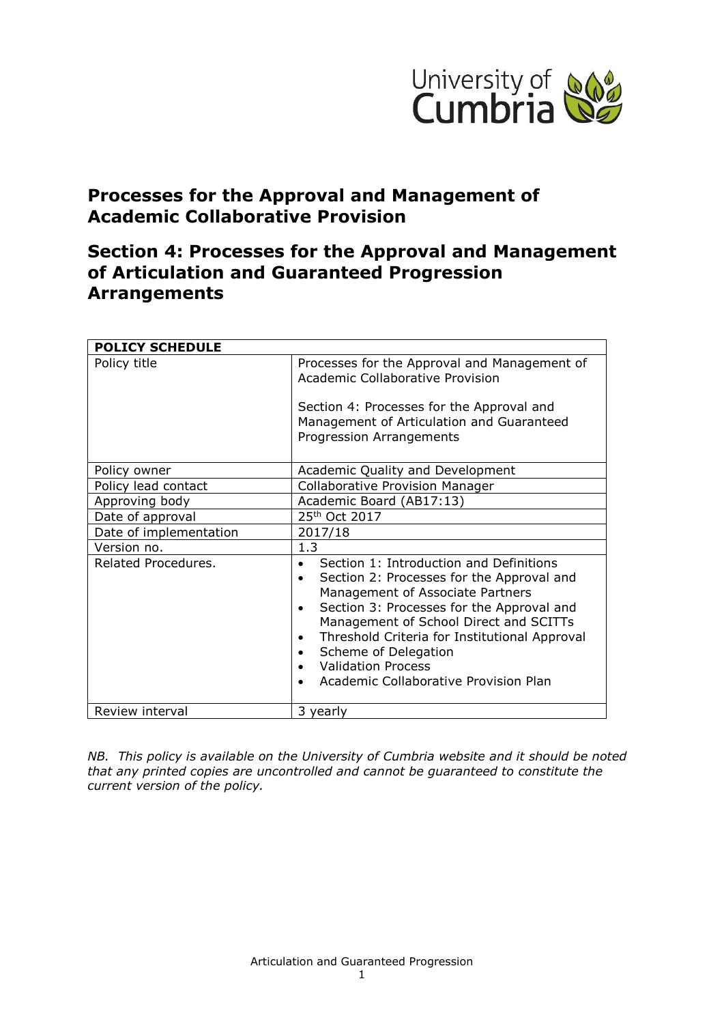

# **Processes for the Approval and Management of Academic Collaborative Provision**

# **Section 4: Processes for the Approval and Management of Articulation and Guaranteed Progression Arrangements**

| <b>POLICY SCHEDULE</b> |                                                                                                                                                                                                                                                                                                                                                                                                                                              |
|------------------------|----------------------------------------------------------------------------------------------------------------------------------------------------------------------------------------------------------------------------------------------------------------------------------------------------------------------------------------------------------------------------------------------------------------------------------------------|
| Policy title           | Processes for the Approval and Management of<br>Academic Collaborative Provision                                                                                                                                                                                                                                                                                                                                                             |
|                        | Section 4: Processes for the Approval and<br>Management of Articulation and Guaranteed<br><b>Progression Arrangements</b>                                                                                                                                                                                                                                                                                                                    |
| Policy owner           | Academic Quality and Development                                                                                                                                                                                                                                                                                                                                                                                                             |
| Policy lead contact    | <b>Collaborative Provision Manager</b>                                                                                                                                                                                                                                                                                                                                                                                                       |
| Approving body         | Academic Board (AB17:13)                                                                                                                                                                                                                                                                                                                                                                                                                     |
| Date of approval       | 25 <sup>th</sup> Oct 2017                                                                                                                                                                                                                                                                                                                                                                                                                    |
| Date of implementation | 2017/18                                                                                                                                                                                                                                                                                                                                                                                                                                      |
| Version no.            | 1.3                                                                                                                                                                                                                                                                                                                                                                                                                                          |
| Related Procedures.    | Section 1: Introduction and Definitions<br>$\bullet$<br>Section 2: Processes for the Approval and<br>$\bullet$<br>Management of Associate Partners<br>Section 3: Processes for the Approval and<br>$\bullet$<br>Management of School Direct and SCITTs<br>Threshold Criteria for Institutional Approval<br>$\bullet$<br>Scheme of Delegation<br><b>Validation Process</b><br>$\bullet$<br>Academic Collaborative Provision Plan<br>$\bullet$ |
| Review interval        | 3 yearly                                                                                                                                                                                                                                                                                                                                                                                                                                     |

*NB. This policy is available on the University of Cumbria website and it should be noted that any printed copies are uncontrolled and cannot be guaranteed to constitute the current version of the policy.*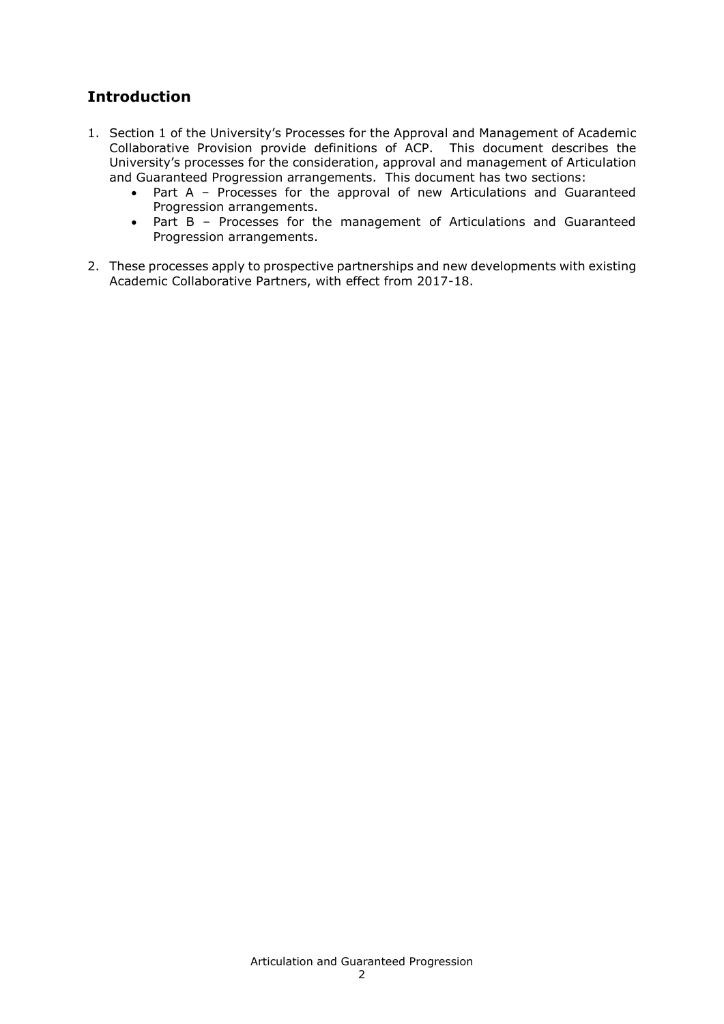## **Introduction**

- 1. Section 1 of the University's Processes for the Approval and Management of Academic Collaborative Provision provide definitions of ACP. This document describes the University's processes for the consideration, approval and management of Articulation and Guaranteed Progression arrangements. This document has two sections:
	- Part A Processes for the approval of new Articulations and Guaranteed Progression arrangements.
	- Part B Processes for the management of Articulations and Guaranteed Progression arrangements.
- 2. These processes apply to prospective partnerships and new developments with existing Academic Collaborative Partners, with effect from 2017-18.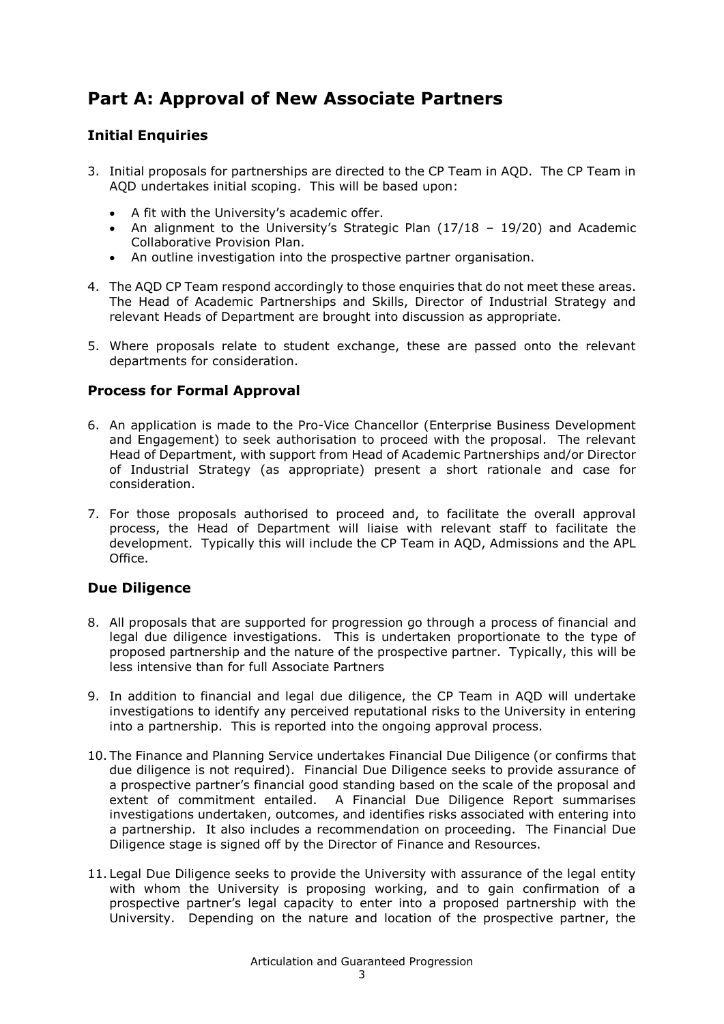# **Part A: Approval of New Associate Partners**

#### **Initial Enquiries**

- 3. Initial proposals for partnerships are directed to the CP Team in AQD. The CP Team in AQD undertakes initial scoping. This will be based upon:
	- A fit with the University's academic offer.
	- An alignment to the University's Strategic Plan (17/18 19/20) and Academic Collaborative Provision Plan.
	- An outline investigation into the prospective partner organisation.
- 4. The AQD CP Team respond accordingly to those enquiries that do not meet these areas. The Head of Academic Partnerships and Skills, Director of Industrial Strategy and relevant Heads of Department are brought into discussion as appropriate.
- 5. Where proposals relate to student exchange, these are passed onto the relevant departments for consideration.

#### **Process for Formal Approval**

- 6. An application is made to the Pro-Vice Chancellor (Enterprise Business Development and Engagement) to seek authorisation to proceed with the proposal. The relevant Head of Department, with support from Head of Academic Partnerships and/or Director of Industrial Strategy (as appropriate) present a short rationale and case for consideration.
- 7. For those proposals authorised to proceed and, to facilitate the overall approval process, the Head of Department will liaise with relevant staff to facilitate the development. Typically this will include the CP Team in AQD, Admissions and the APL Office.

#### **Due Diligence**

- 8. All proposals that are supported for progression go through a process of financial and legal due diligence investigations. This is undertaken proportionate to the type of proposed partnership and the nature of the prospective partner. Typically, this will be less intensive than for full Associate Partners
- 9. In addition to financial and legal due diligence, the CP Team in AQD will undertake investigations to identify any perceived reputational risks to the University in entering into a partnership. This is reported into the ongoing approval process.
- 10. The Finance and Planning Service undertakes Financial Due Diligence (or confirms that due diligence is not required). Financial Due Diligence seeks to provide assurance of a prospective partner's financial good standing based on the scale of the proposal and extent of commitment entailed. A Financial Due Diligence Report summarises investigations undertaken, outcomes, and identifies risks associated with entering into a partnership. It also includes a recommendation on proceeding. The Financial Due Diligence stage is signed off by the Director of Finance and Resources.
- 11. Legal Due Diligence seeks to provide the University with assurance of the legal entity with whom the University is proposing working, and to gain confirmation of a prospective partner's legal capacity to enter into a proposed partnership with the University. Depending on the nature and location of the prospective partner, the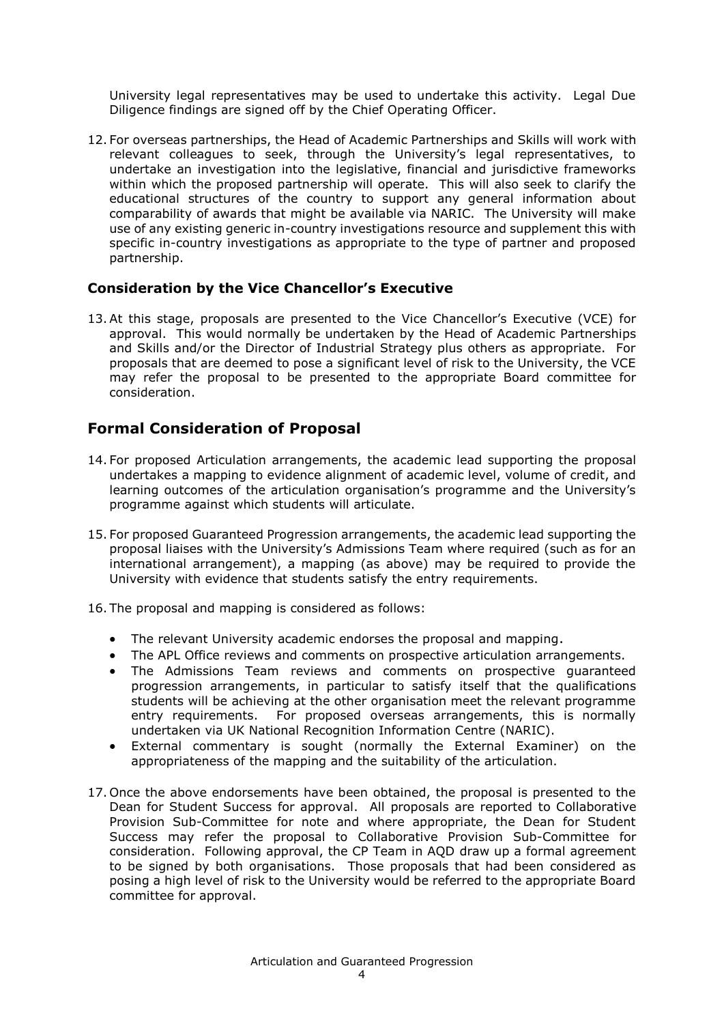University legal representatives may be used to undertake this activity. Legal Due Diligence findings are signed off by the Chief Operating Officer.

12. For overseas partnerships, the Head of Academic Partnerships and Skills will work with relevant colleagues to seek, through the University's legal representatives, to undertake an investigation into the legislative, financial and jurisdictive frameworks within which the proposed partnership will operate. This will also seek to clarify the educational structures of the country to support any general information about comparability of awards that might be available via NARIC. The University will make use of any existing generic in-country investigations resource and supplement this with specific in-country investigations as appropriate to the type of partner and proposed partnership.

#### **Consideration by the Vice Chancellor's Executive**

13.At this stage, proposals are presented to the Vice Chancellor's Executive (VCE) for approval. This would normally be undertaken by the Head of Academic Partnerships and Skills and/or the Director of Industrial Strategy plus others as appropriate. For proposals that are deemed to pose a significant level of risk to the University, the VCE may refer the proposal to be presented to the appropriate Board committee for consideration.

## **Formal Consideration of Proposal**

- 14. For proposed Articulation arrangements, the academic lead supporting the proposal undertakes a mapping to evidence alignment of academic level, volume of credit, and learning outcomes of the articulation organisation's programme and the University's programme against which students will articulate.
- 15. For proposed Guaranteed Progression arrangements, the academic lead supporting the proposal liaises with the University's Admissions Team where required (such as for an international arrangement), a mapping (as above) may be required to provide the University with evidence that students satisfy the entry requirements.
- 16. The proposal and mapping is considered as follows:
	- The relevant University academic endorses the proposal and mapping.
	- The APL Office reviews and comments on prospective articulation arrangements.
	- The Admissions Team reviews and comments on prospective guaranteed progression arrangements, in particular to satisfy itself that the qualifications students will be achieving at the other organisation meet the relevant programme entry requirements. For proposed overseas arrangements, this is normally undertaken via UK National Recognition Information Centre (NARIC).
	- External commentary is sought (normally the External Examiner) on the appropriateness of the mapping and the suitability of the articulation.
- 17. Once the above endorsements have been obtained, the proposal is presented to the Dean for Student Success for approval. All proposals are reported to Collaborative Provision Sub-Committee for note and where appropriate, the Dean for Student Success may refer the proposal to Collaborative Provision Sub-Committee for consideration. Following approval, the CP Team in AQD draw up a formal agreement to be signed by both organisations. Those proposals that had been considered as posing a high level of risk to the University would be referred to the appropriate Board committee for approval.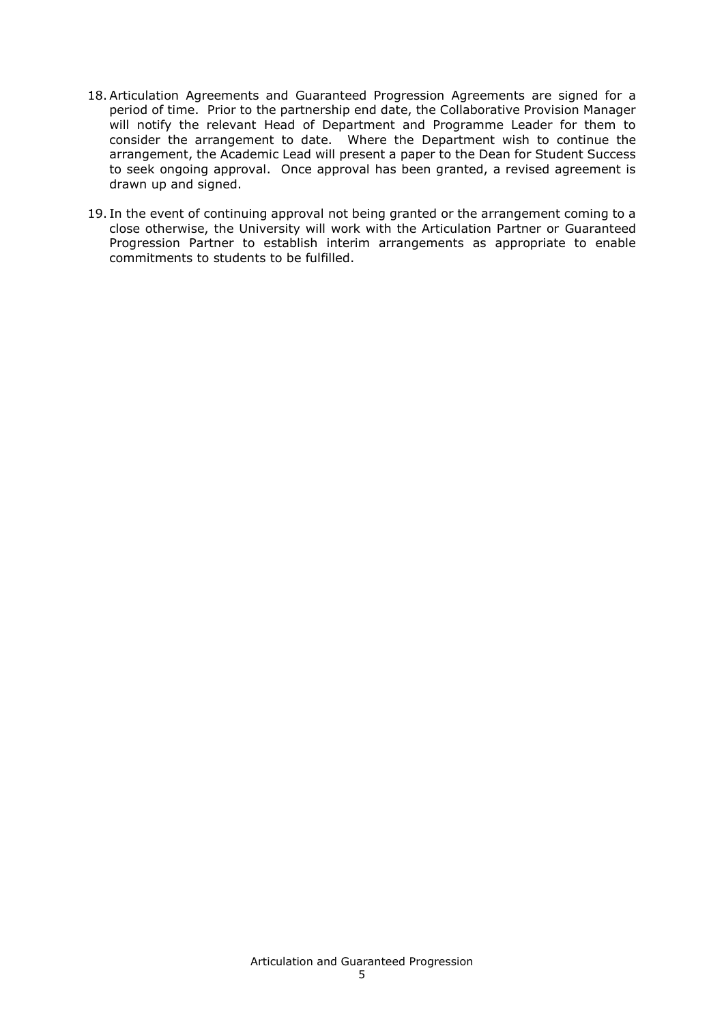- 18.Articulation Agreements and Guaranteed Progression Agreements are signed for a period of time. Prior to the partnership end date, the Collaborative Provision Manager will notify the relevant Head of Department and Programme Leader for them to consider the arrangement to date. Where the Department wish to continue the arrangement, the Academic Lead will present a paper to the Dean for Student Success to seek ongoing approval. Once approval has been granted, a revised agreement is drawn up and signed.
- 19. In the event of continuing approval not being granted or the arrangement coming to a close otherwise, the University will work with the Articulation Partner or Guaranteed Progression Partner to establish interim arrangements as appropriate to enable commitments to students to be fulfilled.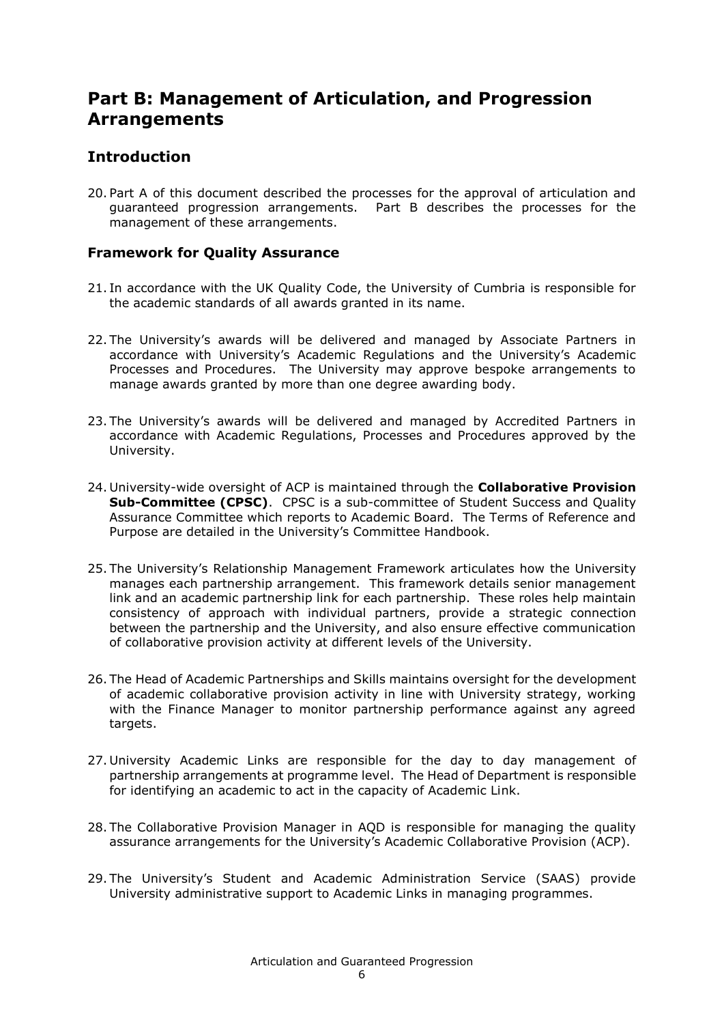## **Part B: Management of Articulation, and Progression Arrangements**

## **Introduction**

20. Part A of this document described the processes for the approval of articulation and guaranteed progression arrangements. Part B describes the processes for the management of these arrangements.

#### **Framework for Quality Assurance**

- 21. In accordance with the UK Quality Code, the University of Cumbria is responsible for the academic standards of all awards granted in its name.
- 22. The University's awards will be delivered and managed by Associate Partners in accordance with University's Academic Regulations and the University's Academic Processes and Procedures. The University may approve bespoke arrangements to manage awards granted by more than one degree awarding body.
- 23. The University's awards will be delivered and managed by Accredited Partners in accordance with Academic Regulations, Processes and Procedures approved by the University.
- 24. University-wide oversight of ACP is maintained through the **Collaborative Provision Sub-Committee (CPSC)**. CPSC is a sub-committee of Student Success and Quality Assurance Committee which reports to Academic Board. The Terms of Reference and Purpose are detailed in the University's Committee Handbook.
- 25. The University's Relationship Management Framework articulates how the University manages each partnership arrangement. This framework details senior management link and an academic partnership link for each partnership. These roles help maintain consistency of approach with individual partners, provide a strategic connection between the partnership and the University, and also ensure effective communication of collaborative provision activity at different levels of the University.
- 26. The Head of Academic Partnerships and Skills maintains oversight for the development of academic collaborative provision activity in line with University strategy, working with the Finance Manager to monitor partnership performance against any agreed targets.
- 27. University Academic Links are responsible for the day to day management of partnership arrangements at programme level. The Head of Department is responsible for identifying an academic to act in the capacity of Academic Link.
- 28. The Collaborative Provision Manager in AQD is responsible for managing the quality assurance arrangements for the University's Academic Collaborative Provision (ACP).
- 29. The University's Student and Academic Administration Service (SAAS) provide University administrative support to Academic Links in managing programmes.